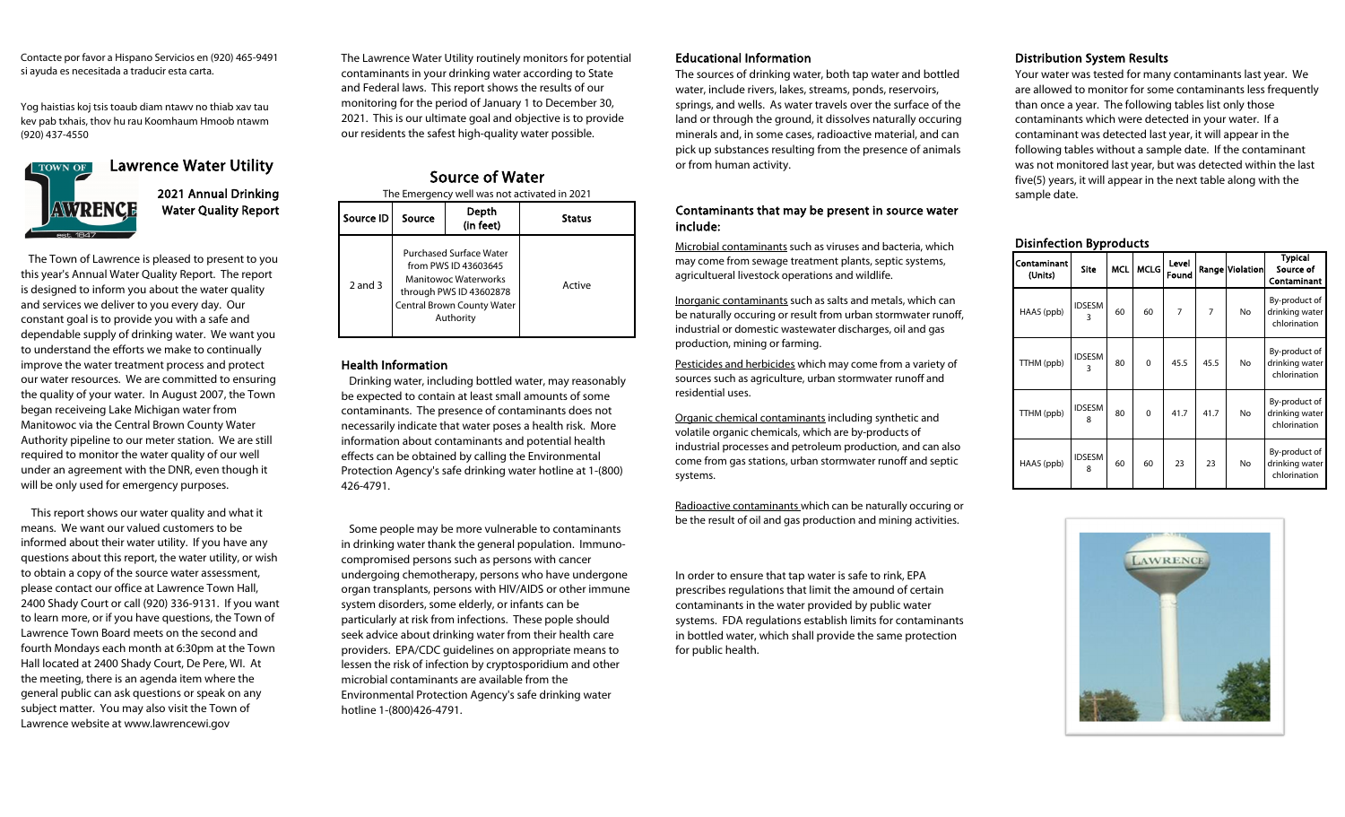Contacte por favor a Hispano Servicios en (920) 465-9491 si ayuda es necesitada a traducir esta carta.

Yog haistias koj tsis toaub diam ntawv no thiab xav tau kev pab txhais, thov hu rau Koomhaum Hmoob ntawm (920) 437-4550



Water Quality Report 2021 Annual Drinking

 The Town of Lawrence is pleased to present to you this year's Annual Water Quality Report. The report is designed to inform you about the water quality and services we deliver to you every day. Our constant goal is to provide you with a safe and dependable supply of drinking water. We want you to understand the efforts we make to continually improve the water treatment process and protect our water resources. We are committed to ensuring the quality of your water. In August 2007, the Town began receiveing Lake Michigan water from Manitowoc via the Central Brown County Water Authority pipeline to our meter station. We are still required to monitor the water quality of our well under an agreement with the DNR, even though it will be only used for emergency purposes.

 This report shows our water quality and what it means. We want our valued customers to be informed about their water utility. If you have any questions about this report, the water utility, or wish to obtain a copy of the source water assessment, please contact our office at Lawrence Town Hall, 2400 Shady Court or call (920) 336-9131. If you want to learn more, or if you have questions, the Town of Lawrence Town Board meets on the second and fourth Mondays each month at 6:30pm at the Town Hall located at 2400 Shady Court, De Pere, WI. At the meeting, there is an agenda item where the general public can ask questions or speak on any subject matter. You may also visit the Town of Lawrence website at www.lawrencewi.gov

The Lawrence Water Utility routinely monitors for potential contaminants in your drinking water according to State and Federal laws. This report shows the results of our monitoring for the period of January 1 to December 30, 2021. This is our ultimate goal and objective is to provide our residents the safest high-quality water possible.

2 and 3 Purchased Surface Water from PWS ID 43603645 Manitowoc Waterworks through PWS ID 43602878 Central Brown County Water Authority **Status** Active Source of Water Depth  $\text{Source} \parallel \text{Source} \parallel \text{Source}$  (in feet) The Emergency well was not activated in 2021

# Health Information

 Drinking water, including bottled water, may reasonably be expected to contain at least small amounts of some contaminants. The presence of contaminants does not necessarily indicate that water poses a health risk. More information about contaminants and potential health effects can be obtained by calling the Environmental Protection Agency's safe drinking water hotline at 1-(800) 426-4791.

 Some people may be more vulnerable to contaminants in drinking water thank the general population. Immunocompromised persons such as persons with cancer undergoing chemotherapy, persons who have undergone organ transplants, persons with HIV/AIDS or other immune system disorders, some elderly, or infants can be particularly at risk from infections. These pople should seek advice about drinking water from their health care providers. EPA/CDC guidelines on appropriate means to lessen the risk of infection by cryptosporidium and other microbial contaminants are available from the Environmental Protection Agency's safe drinking water hotline 1-(800)426-4791.

# Educational Information

The sources of drinking water, both tap water and bottled water, include rivers, lakes, streams, ponds, reservoirs, springs, and wells. As water travels over the surface of the land or through the ground, it dissolves naturally occuring minerals and, in some cases, radioactive material, and can pick up substances resulting from the presence of animals or from human activity.

## Contaminants that may be present in source water include:

Microbial contaminants such as viruses and bacteria, which may come from sewage treatment plants, septic systems, agricultueral livestock operations and wildlife.

Inorganic contaminants such as salts and metals, which can be naturally occuring or result from urban stormwater runoff, industrial or domestic wastewater discharges, oil and gas production, mining or farming.

Pesticides and herbicides which may come from a variety of sources such as agriculture, urban stormwater runoff and residential uses.

Organic chemical contaminants including synthetic and volatile organic chemicals, which are by-products of industrial processes and petroleum production, and can also come from gas stations, urban stormwater runoff and septic systems.

Radioactive contaminants which can be naturally occuring or be the result of oil and gas production and mining activities.

In order to ensure that tap water is safe to rink, EPA prescribes regulations that limit the amound of certain contaminants in the water provided by public water systems. FDA regulations establish limits for contaminants in bottled water, which shall provide the same protection for public health.

# Distribution System Results

Your water was tested for many contaminants last year. We are allowed to monitor for some contaminants less frequently than once a year. The following tables list only those contaminants which were detected in your water. If a contaminant was detected last year, it will appear in the following tables without a sample date. If the contaminant was not monitored last year, but was detected within the last five(5) years, it will appear in the next table along with the sample date.

#### Disinfection Byproducts

| Contaminant<br>(Units) | <b>Site</b>        | <b>MCL</b> | <b>MCLG</b> | Level<br>Found |                | Range Violation | <b>Typical</b><br>Source of<br>Contaminant      |
|------------------------|--------------------|------------|-------------|----------------|----------------|-----------------|-------------------------------------------------|
| HAA5 (ppb)             | <b>IDSESM</b><br>3 | 60         | 60          | 7              | $\overline{7}$ | No              | By-product of<br>drinking water<br>chlorination |
| TTHM (ppb)             | <b>IDSESM</b><br>3 | 80         | $\Omega$    | 45.5           | 45.5           | No              | By-product of<br>drinking water<br>chlorination |
| TTHM (ppb)             | <b>IDSESM</b><br>8 | 80         | $\Omega$    | 41.7           | 41.7           | No              | By-product of<br>drinking water<br>chlorination |
| HAA5 (ppb)             | <b>IDSESM</b><br>8 | 60         | 60          | 23             | 23             | No              | By-product of<br>drinking water<br>chlorination |